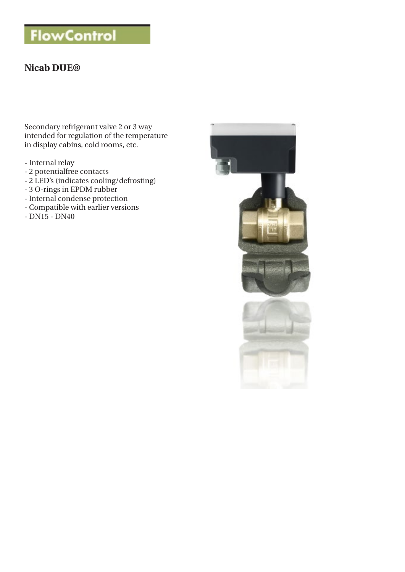# **FlowControl**

# **Nicab DUE®**

Secondary refrigerant valve 2 or 3 way intended for regulation of the temperature in display cabins, cold rooms, etc.

- Internal relay
- 2 potentialfree contacts
- 2 LED's (indicates cooling/defrosting)
- 3 O-rings in EPDM rubber
- Internal condense protection
- Compatible with earlier versions
- DN15 DN40

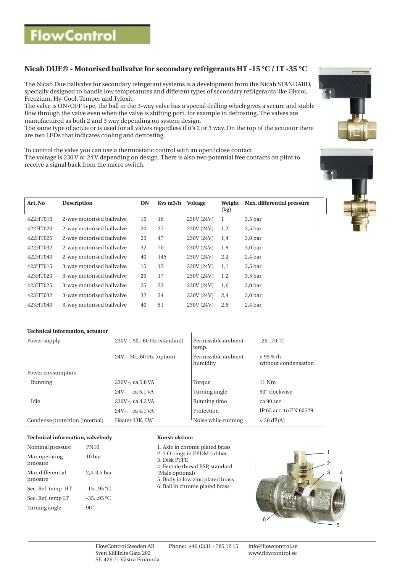# **Nicab DUE® - Motorised ballvalve for secondary refrigerants HT -15 °C / LT -35 °C**

The Nicab Due ballvalve for secondary refrigerant systems is a development from the Nicab STANDARD, specially designed to handle low temperatures and different types of secondary refrigerants like Glycol, Freezium, Hy-Cool, Temper and Tyfoxit.

The valve is ON/OFF type, the ball in the 3-way valve has a special drilling which gives a secure and stable flow through the valve even when the valve is shifting port, for example in defrosting. The valves are manufactured as both 2 and 3 way depending on system design.

The same type of actuator is used for all valves regardless if it's 2 or 3 way. On the top of the actuator there are two LEDs that indicates cooling and defrosting.

To control the valve you can use a thermostatic control with an open/close contact. The voltage is 230 V or 24 V depending on design. There is also two potential free contacts on plint to receive a signal back from the micro switch.





| Art. No  | <b>Description</b>        | DN | $Kvs$ m $3/h$ | <b>Voltage</b> | Weight<br>(kg) | Max. differential pressure |
|----------|---------------------------|----|---------------|----------------|----------------|----------------------------|
| 422HT015 | 2-way motorised ballvalve | 15 | 16            | 230V (24V)     | -1             | $3,5$ bar                  |
| 422HT020 | 2-way motorised ballvalve | 20 | 27            | 230V (24V)     | 1,2            | $3,5$ bar                  |
| 422HT025 | 2-way motorised ballvalve | 25 | 47            | 230V (24V)     | 1,4            | 3.0 <sub>bar</sub>         |
| 422HT032 | 2-way motorised ballvalve | 32 | 70            | 230V (24V)     | 1,9            | $3,0$ bar                  |
| 422HT040 | 2-way motorised ballvalve | 40 | 145           | 230V (24V)     | 2,2            | $2,4$ bar                  |
| 423HT015 | 3-way motorised ballvalve | 15 | 12            | 230V (24V)     | 1,1            | $3,5$ bar                  |
| 423HT020 | 3-way motorised ballvalve | 20 | 17            | 230V (24V)     | 1,2            | $3,5$ bar                  |
| 423HT025 | 3-way motorised ballvalve | 25 | 23            | 230V (24V)     | 1,6            | $3,0$ bar                  |
| 423HT032 | 3-way motorised ballvalve | 32 | 34            | 230V (24V)     | 2,4            | 3.0 <sub>bar</sub>         |
| 423HT040 | 3-way motorised ballvalve | 40 | 51            | 230V (24V)     | 2,6            | 2.4 <sub>bar</sub>         |

| 230V~, 5060 Hz (standard) | Permissible ambient<br>temp.    | $-2570 °C$                       |
|---------------------------|---------------------------------|----------------------------------|
| $24V7$ , 5060 Hz (option) | Permissible ambient<br>humidity | < 95 %rh<br>without condensation |
|                           |                                 |                                  |
| 230V~, ca 5.8 VA          | Torque                          | $11$ Nm                          |
| 24V $\sim$ , ca 5,1 VA    | Turning angle                   | $90^\circ$ clockwise             |
| 230V~, ca 4.2 VA          | Running time                    | ca 90 sec                        |
| 24V $\sim$ , ca 4,1 VA    | Protection                      | IP 65 acc. to EN 60529           |
| Heater 33K, 5W            | Noise while running             | $<$ 30 dB(A)                     |
|                           |                                 |                                  |

#### **Technical information, valvebody Konstruktion:**

| Nominal pressure             | <b>PN16</b> |
|------------------------------|-------------|
| Max operating<br>pressure    | 10 bar      |
| Max differential<br>pressure | 2.4-3.5 bar |
| Sec. Ref. temp HT            | $-1595 °C$  |
| Sec. Ref. temp LT            | $-3595$ °C  |
| Turning angle                | ۹۵۰         |

| Nominal pressure             | <b>PN16</b>     | 1. Axle in chrome plated brass                                                        |
|------------------------------|-----------------|---------------------------------------------------------------------------------------|
| Max operating<br>pressure    | 10 bar          | 2.3 O-rings in EPDM rubber<br>3. Disk PTFE                                            |
| Max differential<br>pressure | $2.4 - 3.5$ bar | 4. Female thread BSP, standard<br>(Male optional)<br>5. Body in low zinc plated brass |
| Sec. Ref. temp HT            | $-1595 °C$      | 6. Ball in chrome plated brass                                                        |
| Sec. Ref. temp LT            | $-3595 °C$      |                                                                                       |